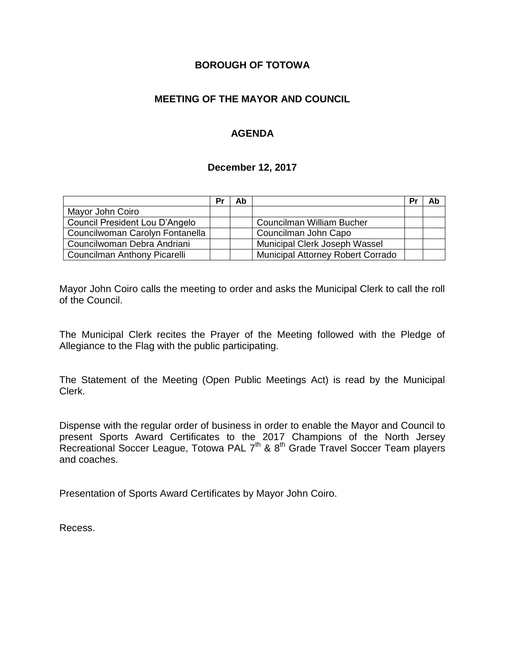## **BOROUGH OF TOTOWA**

## **MEETING OF THE MAYOR AND COUNCIL**

## **AGENDA**

#### **December 12, 2017**

|                                 | Pr | Ab |                                   | Pr | Ab |
|---------------------------------|----|----|-----------------------------------|----|----|
| Mayor John Coiro                |    |    |                                   |    |    |
| Council President Lou D'Angelo  |    |    | <b>Councilman William Bucher</b>  |    |    |
| Councilwoman Carolyn Fontanella |    |    | Councilman John Capo              |    |    |
| Councilwoman Debra Andriani     |    |    | Municipal Clerk Joseph Wassel     |    |    |
| Councilman Anthony Picarelli    |    |    | Municipal Attorney Robert Corrado |    |    |

Mayor John Coiro calls the meeting to order and asks the Municipal Clerk to call the roll of the Council.

The Municipal Clerk recites the Prayer of the Meeting followed with the Pledge of Allegiance to the Flag with the public participating.

The Statement of the Meeting (Open Public Meetings Act) is read by the Municipal Clerk.

Dispense with the regular order of business in order to enable the Mayor and Council to present Sports Award Certificates to the 2017 Champions of the North Jersey Recreational Soccer League, Totowa PAL 7<sup>th</sup> & 8<sup>th</sup> Grade Travel Soccer Team players and coaches.

Presentation of Sports Award Certificates by Mayor John Coiro.

Recess.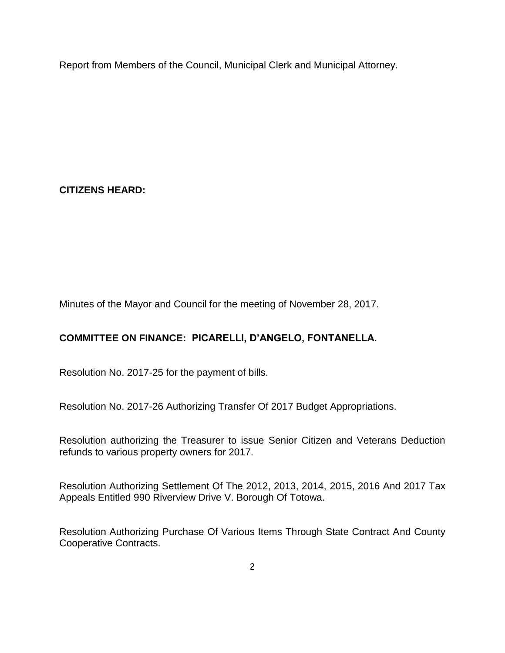Report from Members of the Council, Municipal Clerk and Municipal Attorney.

# **CITIZENS HEARD:**

Minutes of the Mayor and Council for the meeting of November 28, 2017.

# **COMMITTEE ON FINANCE: PICARELLI, D'ANGELO, FONTANELLA.**

Resolution No. 2017-25 for the payment of bills.

Resolution No. 2017-26 Authorizing Transfer Of 2017 Budget Appropriations.

Resolution authorizing the Treasurer to issue Senior Citizen and Veterans Deduction refunds to various property owners for 2017.

Resolution Authorizing Settlement Of The 2012, 2013, 2014, 2015, 2016 And 2017 Tax Appeals Entitled 990 Riverview Drive V. Borough Of Totowa.

Resolution Authorizing Purchase Of Various Items Through State Contract And County Cooperative Contracts.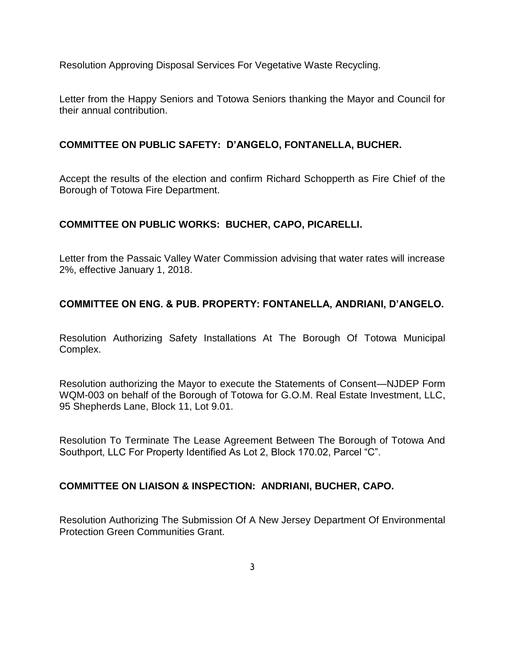Resolution Approving Disposal Services For Vegetative Waste Recycling.

Letter from the Happy Seniors and Totowa Seniors thanking the Mayor and Council for their annual contribution.

## **COMMITTEE ON PUBLIC SAFETY: D'ANGELO, FONTANELLA, BUCHER.**

Accept the results of the election and confirm Richard Schopperth as Fire Chief of the Borough of Totowa Fire Department.

## **COMMITTEE ON PUBLIC WORKS: BUCHER, CAPO, PICARELLI.**

Letter from the Passaic Valley Water Commission advising that water rates will increase 2%, effective January 1, 2018.

## **COMMITTEE ON ENG. & PUB. PROPERTY: FONTANELLA, ANDRIANI, D'ANGELO.**

Resolution Authorizing Safety Installations At The Borough Of Totowa Municipal Complex.

Resolution authorizing the Mayor to execute the Statements of Consent—NJDEP Form WQM-003 on behalf of the Borough of Totowa for G.O.M. Real Estate Investment, LLC, 95 Shepherds Lane, Block 11, Lot 9.01.

Resolution To Terminate The Lease Agreement Between The Borough of Totowa And Southport, LLC For Property Identified As Lot 2, Block 170.02, Parcel "C".

#### **COMMITTEE ON LIAISON & INSPECTION: ANDRIANI, BUCHER, CAPO.**

Resolution Authorizing The Submission Of A New Jersey Department Of Environmental Protection Green Communities Grant.